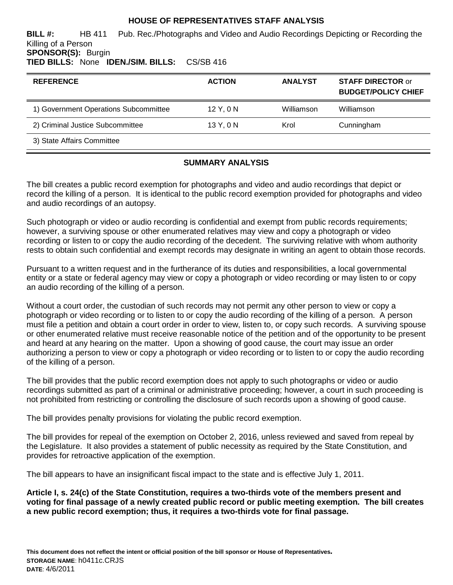## **HOUSE OF REPRESENTATIVES STAFF ANALYSIS**

**BILL #:** HB 411 Pub. Rec./Photographs and Video and Audio Recordings Depicting or Recording the Killing of a Person **SPONSOR(S):** Burgin

# **TIED BILLS:** None **IDEN./SIM. BILLS:** CS/SB 416

| <b>REFERENCE</b>                      | <b>ACTION</b> | <b>ANALYST</b> | <b>STAFF DIRECTOR or</b><br><b>BUDGET/POLICY CHIEF</b> |
|---------------------------------------|---------------|----------------|--------------------------------------------------------|
| 1) Government Operations Subcommittee | $12$ Y, 0 N   | Williamson     | Williamson                                             |
| 2) Criminal Justice Subcommittee      | 13 Y, 0 N     | Krol           | Cunningham                                             |
| 3) State Affairs Committee            |               |                |                                                        |
|                                       |               |                |                                                        |

## **SUMMARY ANALYSIS**

The bill creates a public record exemption for photographs and video and audio recordings that depict or record the killing of a person. It is identical to the public record exemption provided for photographs and video and audio recordings of an autopsy.

Such photograph or video or audio recording is confidential and exempt from public records requirements; however, a surviving spouse or other enumerated relatives may view and copy a photograph or video recording or listen to or copy the audio recording of the decedent. The surviving relative with whom authority rests to obtain such confidential and exempt records may designate in writing an agent to obtain those records.

Pursuant to a written request and in the furtherance of its duties and responsibilities, a local governmental entity or a state or federal agency may view or copy a photograph or video recording or may listen to or copy an audio recording of the killing of a person.

Without a court order, the custodian of such records may not permit any other person to view or copy a photograph or video recording or to listen to or copy the audio recording of the killing of a person. A person must file a petition and obtain a court order in order to view, listen to, or copy such records. A surviving spouse or other enumerated relative must receive reasonable notice of the petition and of the opportunity to be present and heard at any hearing on the matter. Upon a showing of good cause, the court may issue an order authorizing a person to view or copy a photograph or video recording or to listen to or copy the audio recording of the killing of a person.

The bill provides that the public record exemption does not apply to such photographs or video or audio recordings submitted as part of a criminal or administrative proceeding; however, a court in such proceeding is not prohibited from restricting or controlling the disclosure of such records upon a showing of good cause.

The bill provides penalty provisions for violating the public record exemption.

The bill provides for repeal of the exemption on October 2, 2016, unless reviewed and saved from repeal by the Legislature. It also provides a statement of public necessity as required by the State Constitution, and provides for retroactive application of the exemption.

The bill appears to have an insignificant fiscal impact to the state and is effective July 1, 2011.

**Article I, s. 24(c) of the State Constitution, requires a two-thirds vote of the members present and voting for final passage of a newly created public record or public meeting exemption. The bill creates a new public record exemption; thus, it requires a two-thirds vote for final passage.**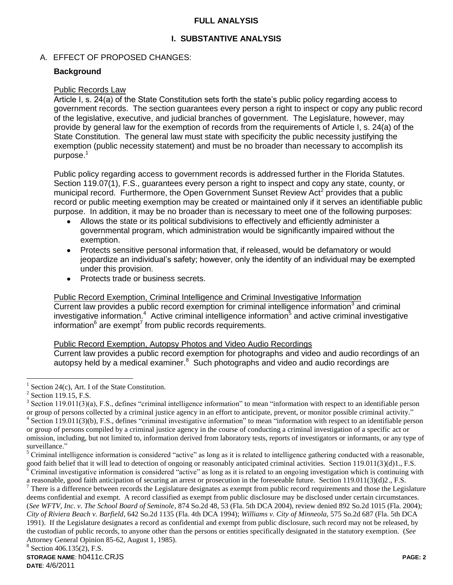## **FULL ANALYSIS**

## **I. SUBSTANTIVE ANALYSIS**

## A. EFFECT OF PROPOSED CHANGES:

#### **Background**

#### Public Records Law

Article I, s. 24(a) of the State Constitution sets forth the state's public policy regarding access to government records. The section guarantees every person a right to inspect or copy any public record of the legislative, executive, and judicial branches of government. The Legislature, however, may provide by general law for the exemption of records from the requirements of Article I, s. 24(a) of the State Constitution. The general law must state with specificity the public necessity justifying the exemption (public necessity statement) and must be no broader than necessary to accomplish its purpose.<sup>1</sup>

Public policy regarding access to government records is addressed further in the Florida Statutes. Section 119.07(1), F.S., guarantees every person a right to inspect and copy any state, county, or municipal record. Furthermore, the Open Government Sunset Review Act<sup>2</sup> provides that a public record or public meeting exemption may be created or maintained only if it serves an identifiable public purpose. In addition, it may be no broader than is necessary to meet one of the following purposes:

- Allows the state or its political subdivisions to effectively and efficiently administer a governmental program, which administration would be significantly impaired without the exemption.
- Protects sensitive personal information that, if released, would be defamatory or would  $\bullet$ jeopardize an individual's safety; however, only the identity of an individual may be exempted under this provision.
- Protects trade or business secrets.

Public Record Exemption, Criminal Intelligence and Criminal Investigative Information Current law provides a public record exemption for criminal intelligence information $3$  and criminal investigative information.<sup>4</sup> Active criminal intelligence information<sup>5</sup> and active criminal investigative information $^6$  are exempt<sup>7</sup> from public records requirements.

#### Public Record Exemption, Autopsy Photos and Video Audio Recordings

Current law provides a public record exemption for photographs and video and audio recordings of an autopsy held by a medical examiner. $8$  Such photographs and video and audio recordings are

 $\overline{a}$ 

a reasonable, good faith anticipation of securing an arrest or prosecution in the foreseeable future. Section 119.011(3)(d)2., F.S.

 $<sup>7</sup>$  There is a difference between records the Legislature designates as exempt from public record requirements and those the Legislature</sup> deems confidential and exempt. A record classified as exempt from public disclosure may be disclosed under certain circumstances. (*See WFTV, Inc. v. The School Board of Seminole*, 874 So.2d 48, 53 (Fla. 5th DCA 2004), review denied 892 So.2d 1015 (Fla. 2004); *City of Riviera Beach v. Barfield*, 642 So.2d 1135 (Fla. 4th DCA 1994); *Williams v. City of Minneola*, 575 So.2d 687 (Fla. 5th DCA 1991). If the Legislature designates a record as confidential and exempt from public disclosure, such record may not be released, by the custodian of public records, to anyone other than the persons or entities specifically designated in the statutory exemption. (*See* Attorney General Opinion 85-62, August 1, 1985).

#### <sup>8</sup> Section 406.135(2), F.S.

<sup>&</sup>lt;sup>1</sup> Section 24(c), Art. I of the State Constitution.

 $<sup>2</sup>$  Section 119.15, F.S.</sup>

 $3$  Section 119.011(3)(a), F.S., defines "criminal intelligence information" to mean "information with respect to an identifiable person or group of persons collected by a criminal justice agency in an effort to anticipate, prevent, or monitor possible criminal activity." <sup>4</sup> Section 119.011(3)(b), F.S., defines "criminal investigative information" to mean "information with respect to an identifiable person or group of persons compiled by a criminal justice agency in the course of conducting a criminal investigation of a specific act or omission, including, but not limited to, information derived from laboratory tests, reports of investigators or informants, or any type of surveillance."

 $<sup>5</sup>$  Criminal intelligence information is considered "active" as long as it is related to intelligence gathering conducted with a reasonable,</sup> good faith belief that it will lead to detection of ongoing or reasonably anticipated criminal activities. Section 119.011(3)(d)1., F.S.  $\frac{1}{6}$  Criminal investigative information is considered "active" as long as it is related to an ongoing investigation which is continuing with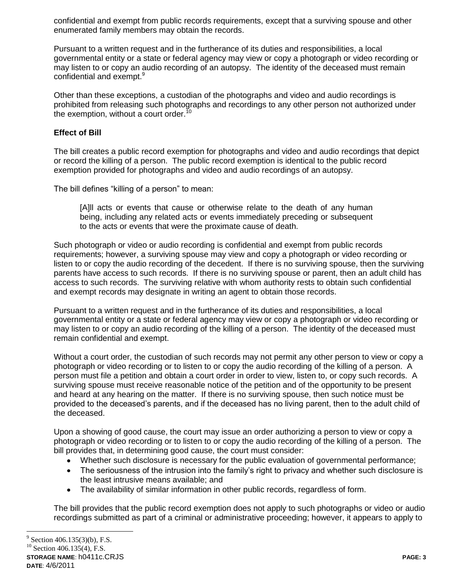confidential and exempt from public records requirements, except that a surviving spouse and other enumerated family members may obtain the records.

Pursuant to a written request and in the furtherance of its duties and responsibilities, a local governmental entity or a state or federal agency may view or copy a photograph or video recording or may listen to or copy an audio recording of an autopsy. The identity of the deceased must remain confidential and exempt.<sup>9</sup>

Other than these exceptions, a custodian of the photographs and video and audio recordings is prohibited from releasing such photographs and recordings to any other person not authorized under the exemption, without a court order.<sup>10</sup>

### **Effect of Bill**

The bill creates a public record exemption for photographs and video and audio recordings that depict or record the killing of a person. The public record exemption is identical to the public record exemption provided for photographs and video and audio recordings of an autopsy.

The bill defines "killing of a person" to mean:

[A]ll acts or events that cause or otherwise relate to the death of any human being, including any related acts or events immediately preceding or subsequent to the acts or events that were the proximate cause of death.

Such photograph or video or audio recording is confidential and exempt from public records requirements; however, a surviving spouse may view and copy a photograph or video recording or listen to or copy the audio recording of the decedent. If there is no surviving spouse, then the surviving parents have access to such records. If there is no surviving spouse or parent, then an adult child has access to such records. The surviving relative with whom authority rests to obtain such confidential and exempt records may designate in writing an agent to obtain those records.

Pursuant to a written request and in the furtherance of its duties and responsibilities, a local governmental entity or a state or federal agency may view or copy a photograph or video recording or may listen to or copy an audio recording of the killing of a person. The identity of the deceased must remain confidential and exempt.

Without a court order, the custodian of such records may not permit any other person to view or copy a photograph or video recording or to listen to or copy the audio recording of the killing of a person. A person must file a petition and obtain a court order in order to view, listen to, or copy such records. A surviving spouse must receive reasonable notice of the petition and of the opportunity to be present and heard at any hearing on the matter. If there is no surviving spouse, then such notice must be provided to the deceased's parents, and if the deceased has no living parent, then to the adult child of the deceased.

Upon a showing of good cause, the court may issue an order authorizing a person to view or copy a photograph or video recording or to listen to or copy the audio recording of the killing of a person. The bill provides that, in determining good cause, the court must consider:

- Whether such disclosure is necessary for the public evaluation of governmental performance;
- The seriousness of the intrusion into the family's right to privacy and whether such disclosure is the least intrusive means available; and
- The availability of similar information in other public records, regardless of form.

The bill provides that the public record exemption does not apply to such photographs or video or audio recordings submitted as part of a criminal or administrative proceeding; however, it appears to apply to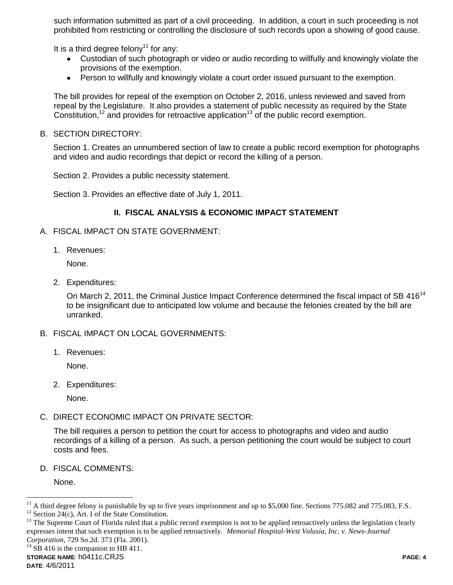such information submitted as part of a civil proceeding. In addition, a court in such proceeding is not prohibited from restricting or controlling the disclosure of such records upon a showing of good cause.

It is a third degree felony<sup>11</sup> for any:

- Custodian of such photograph or video or audio recording to willfully and knowingly violate the provisions of the exemption.
- Person to willfully and knowingly violate a court order issued pursuant to the exemption.

The bill provides for repeal of the exemption on October 2, 2016, unless reviewed and saved from repeal by the Legislature. It also provides a statement of public necessity as required by the State Constitution,<sup>12</sup> and provides for retroactive application<sup>13</sup> of the public record exemption.

B. SECTION DIRECTORY:

Section 1. Creates an unnumbered section of law to create a public record exemption for photographs and video and audio recordings that depict or record the killing of a person.

Section 2. Provides a public necessity statement.

Section 3. Provides an effective date of July 1, 2011.

#### **II. FISCAL ANALYSIS & ECONOMIC IMPACT STATEMENT**

- A. FISCAL IMPACT ON STATE GOVERNMENT:
	- 1. Revenues:

None.

2. Expenditures:

On March 2, 2011, the Criminal Justice Impact Conference determined the fiscal impact of SB 416<sup>14</sup> to be insignificant due to anticipated low volume and because the felonies created by the bill are unranked.

- B. FISCAL IMPACT ON LOCAL GOVERNMENTS:
	- 1. Revenues:

None.

2. Expenditures:

None.

C. DIRECT ECONOMIC IMPACT ON PRIVATE SECTOR:

The bill requires a person to petition the court for access to photographs and video and audio recordings of a killing of a person. As such, a person petitioning the court would be subject to court costs and fees.

D. FISCAL COMMENTS:

None.

<sup>13</sup> The Supreme Court of Florida ruled that a public record exemption is not to be applied retroactively unless the legislation clearly expresses intent that such exemption is to be applied retroactively. *Memorial Hospital-West Volusia, Inc. v. News-Journal Corporation*, 729 So.2d. 373 (Fla. 2001).

 $^{14}$  SB 416 is the companion to HB 411.

 $\overline{a}$ 

<sup>&</sup>lt;sup>11</sup> A third degree felony is punishable by up to five years imprisonment and up to \$5,000 fine. Sections 775.082 and 775.083, F.S.

<sup>&</sup>lt;sup>12</sup> Section 24(c), Art. I of the State Constitution.